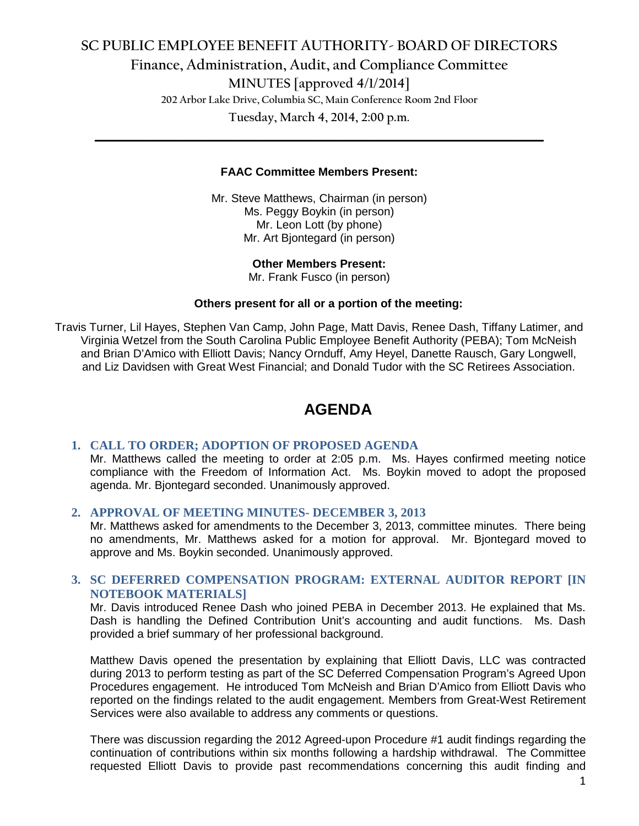## **SC PUBLIC EMPLOYEE BENEFIT AUTHORITY- BOARD OF DIRECTORS Finance, Administration, Audit, and Compliance Committee MINUTES [approved 4/1/2014] 202 Arbor Lake Drive, Columbia SC, Main Conference Room 2nd Floor Tuesday, March 4, 2014, 2:00 p.m.**

#### **FAAC Committee Members Present:**

**\_\_\_\_\_\_\_\_\_\_\_\_\_\_\_\_\_\_\_\_\_\_\_\_\_\_\_\_\_\_\_\_\_\_\_\_\_\_\_\_\_\_\_\_\_\_\_\_\_\_\_\_\_\_\_\_\_\_\_\_\_\_\_\_\_\_\_\_\_\_\_\_**

Mr. Steve Matthews, Chairman (in person) Ms. Peggy Boykin (in person) Mr. Leon Lott (by phone) Mr. Art Bjontegard (in person)

> **Other Members Present:** Mr. Frank Fusco (in person)

#### **Others present for all or a portion of the meeting:**

Travis Turner, Lil Hayes, Stephen Van Camp, John Page, Matt Davis, Renee Dash, Tiffany Latimer, and Virginia Wetzel from the South Carolina Public Employee Benefit Authority (PEBA); Tom McNeish and Brian D'Amico with Elliott Davis; Nancy Ornduff, Amy Heyel, Danette Rausch, Gary Longwell, and Liz Davidsen with Great West Financial; and Donald Tudor with the SC Retirees Association.

## **AGENDA**

## **1. CALL TO ORDER; ADOPTION OF PROPOSED AGENDA**

Mr. Matthews called the meeting to order at 2:05 p.m. Ms. Hayes confirmed meeting notice compliance with the Freedom of Information Act. Ms. Boykin moved to adopt the proposed agenda. Mr. Bjontegard seconded. Unanimously approved.

#### **2. APPROVAL OF MEETING MINUTES- DECEMBER 3, 2013**

Mr. Matthews asked for amendments to the December 3, 2013, committee minutes. There being no amendments, Mr. Matthews asked for a motion for approval. Mr. Bjontegard moved to approve and Ms. Boykin seconded. Unanimously approved.

## **3. SC DEFERRED COMPENSATION PROGRAM: EXTERNAL AUDITOR REPORT [IN NOTEBOOK MATERIALS]**

Mr. Davis introduced Renee Dash who joined PEBA in December 2013. He explained that Ms. Dash is handling the Defined Contribution Unit's accounting and audit functions. Ms. Dash provided a brief summary of her professional background.

Matthew Davis opened the presentation by explaining that Elliott Davis, LLC was contracted during 2013 to perform testing as part of the SC Deferred Compensation Program's Agreed Upon Procedures engagement. He introduced Tom McNeish and Brian D'Amico from Elliott Davis who reported on the findings related to the audit engagement. Members from Great-West Retirement Services were also available to address any comments or questions.

There was discussion regarding the 2012 Agreed-upon Procedure #1 audit findings regarding the continuation of contributions within six months following a hardship withdrawal. The Committee requested Elliott Davis to provide past recommendations concerning this audit finding and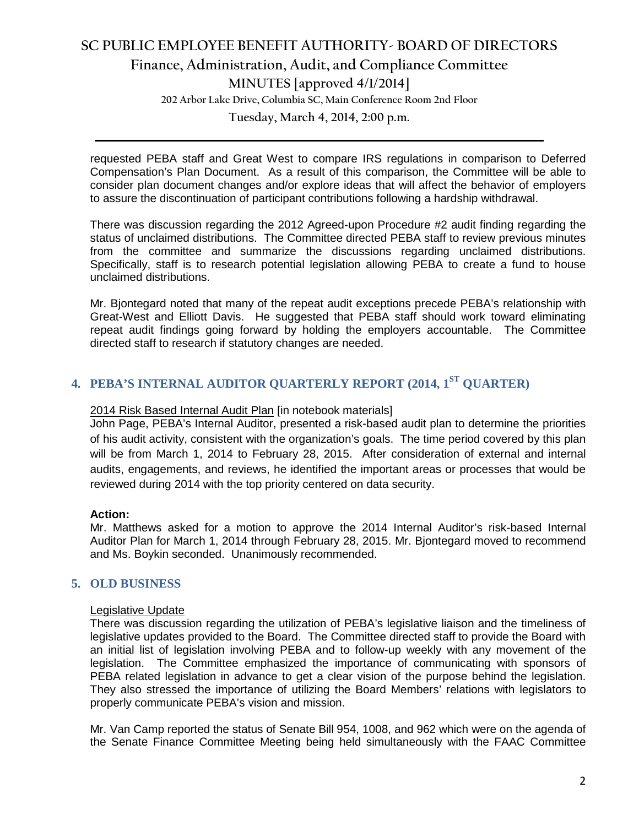# **SC PUBLIC EMPLOYEE BENEFIT AUTHORITY- BOARD OF DIRECTORS Finance, Administration, Audit, and Compliance Committee MINUTES [approved 4/1/2014] 202 Arbor Lake Drive, Columbia SC, Main Conference Room 2nd Floor**

**Tuesday, March 4, 2014, 2:00 p.m. \_\_\_\_\_\_\_\_\_\_\_\_\_\_\_\_\_\_\_\_\_\_\_\_\_\_\_\_\_\_\_\_\_\_\_\_\_\_\_\_\_\_\_\_\_\_\_\_\_\_\_\_\_\_\_\_\_\_\_\_\_\_\_\_\_\_\_\_\_\_\_\_**

requested PEBA staff and Great West to compare IRS regulations in comparison to Deferred Compensation's Plan Document. As a result of this comparison, the Committee will be able to consider plan document changes and/or explore ideas that will affect the behavior of employers to assure the discontinuation of participant contributions following a hardship withdrawal.

There was discussion regarding the 2012 Agreed-upon Procedure #2 audit finding regarding the status of unclaimed distributions. The Committee directed PEBA staff to review previous minutes from the committee and summarize the discussions regarding unclaimed distributions. Specifically, staff is to research potential legislation allowing PEBA to create a fund to house unclaimed distributions.

Mr. Bjontegard noted that many of the repeat audit exceptions precede PEBA's relationship with Great-West and Elliott Davis. He suggested that PEBA staff should work toward eliminating repeat audit findings going forward by holding the employers accountable. The Committee directed staff to research if statutory changes are needed.

# **4. PEBA'S INTERNAL AUDITOR QUARTERLY REPORT (2014, 1ST QUARTER)**

## 2014 Risk Based Internal Audit Plan [in notebook materials]

John Page, PEBA's Internal Auditor, presented a risk-based audit plan to determine the priorities of his audit activity, consistent with the organization's goals. The time period covered by this plan will be from March 1, 2014 to February 28, 2015. After consideration of external and internal audits, engagements, and reviews, he identified the important areas or processes that would be reviewed during 2014 with the top priority centered on data security.

## **Action:**

Mr. Matthews asked for a motion to approve the 2014 Internal Auditor's risk-based Internal Auditor Plan for March 1, 2014 through February 28, 2015. Mr. Bjontegard moved to recommend and Ms. Boykin seconded. Unanimously recommended.

## **5. OLD BUSINESS**

## Legislative Update

There was discussion regarding the utilization of PEBA's legislative liaison and the timeliness of legislative updates provided to the Board. The Committee directed staff to provide the Board with an initial list of legislation involving PEBA and to follow-up weekly with any movement of the legislation. The Committee emphasized the importance of communicating with sponsors of PEBA related legislation in advance to get a clear vision of the purpose behind the legislation. They also stressed the importance of utilizing the Board Members' relations with legislators to properly communicate PEBA's vision and mission.

Mr. Van Camp reported the status of Senate Bill 954, 1008, and 962 which were on the agenda of the Senate Finance Committee Meeting being held simultaneously with the FAAC Committee